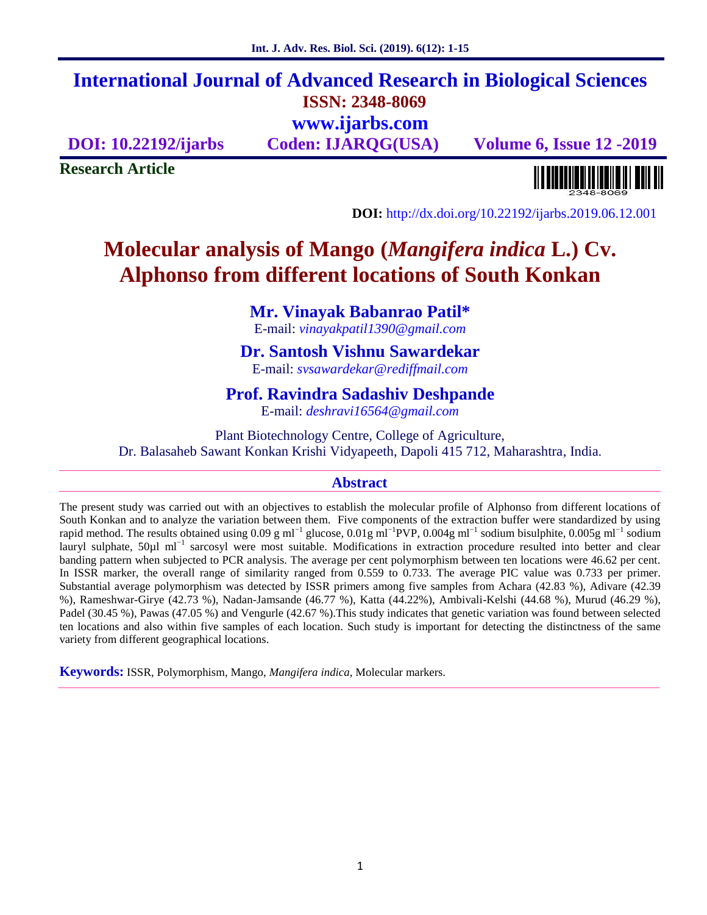# **International Journal of Advanced Research in Biological Sciences ISSN: 2348-8069 www.ijarbs.com**

**DOI: 10.22192/ijarbs Coden: IJARQG(USA) Volume 6, Issue 12 -2019**

**Research Article**

**DOI:** http://dx.doi.org/10.22192/ijarbs.2019.06.12.001

# **Molecular analysis of Mango (***Mangifera indica* **L.) Cv. Alphonso from different locations of South Konkan**

# **Mr. Vinayak Babanrao Patil\***

E-mail: *vinayakpatil1390@gmail.com*

# **Dr. Santosh Vishnu Sawardekar**

E-mail: *svsawardekar@rediffmail.com*

# **Prof. Ravindra Sadashiv Deshpande**

E-mail: *deshravi16564@gmail.com*

Plant Biotechnology Centre, College of Agriculture, Dr. Balasaheb Sawant Konkan Krishi Vidyapeeth, Dapoli 415 712, Maharashtra, India.

# **Abstract**

The present study was carried out with an objectives to establish the molecular profile of Alphonso from different locations of South Konkan and to analyze the variation between them. Five components of the extraction buffer were standardized by using rapid method. The results obtained using 0.09 g ml<sup>-1</sup> glucose, 0.01g ml<sup>-1</sup>PVP, 0.004g ml<sup>-1</sup> sodium bisulphite, 0.005g ml<sup>-1</sup> sodium lauryl sulphate, 50µl ml<sup>−</sup><sup>1</sup> sarcosyl were most suitable. Modifications in extraction procedure resulted into better and clear banding pattern when subjected to PCR analysis. The average per cent polymorphism between ten locations were 46.62 per cent. In ISSR marker, the overall range of similarity ranged from 0.559 to 0.733. The average PIC value was 0.733 per primer. Substantial average polymorphism was detected by ISSR primers among five samples from Achara (42.83 %), Adivare (42.39 %), Rameshwar-Girye (42.73 %), Nadan-Jamsande (46.77 %), Katta (44.22%), Ambivali-Kelshi (44.68 %), Murud (46.29 %), Padel (30.45 %), Pawas (47.05 %) and Vengurle (42.67 %).This study indicates that genetic variation was found between selected ten locations and also within five samples of each location. Such study is important for detecting the distinctness of the same variety from different geographical locations.

**Keywords:** ISSR, Polymorphism, Mango, *Mangifera indica,* Molecular markers.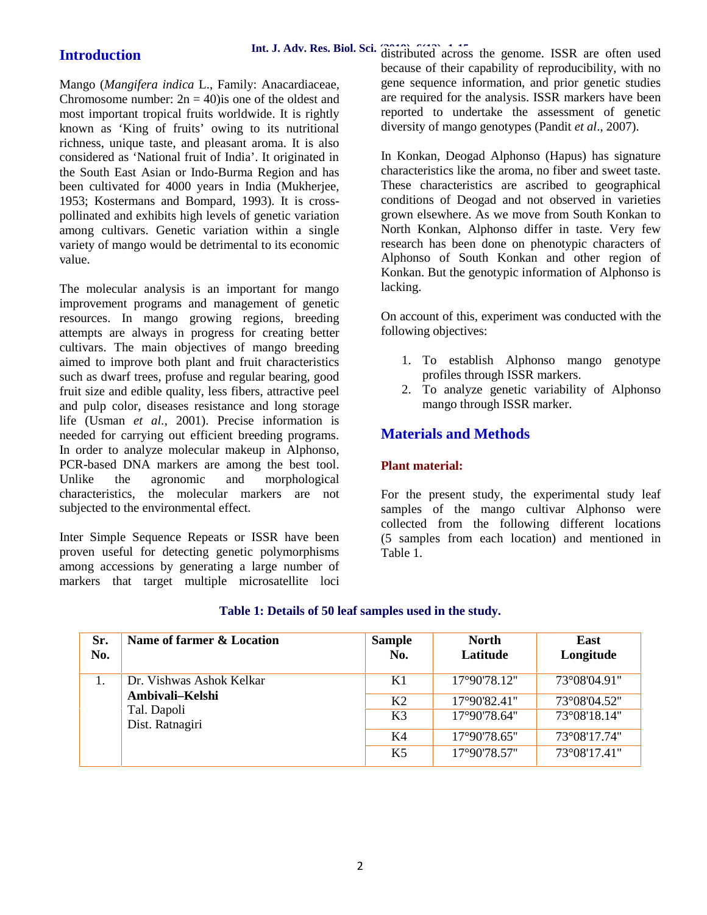# **Introduction**

Mango (*Mangifera indica* L., Family: Anacardiaceae*,* Chromosome number:  $2n = 40$ ) is one of the oldest and most important tropical fruits worldwide. It is rightly known as 'King of fruits' owing to its nutritional richness, unique taste, and pleasant aroma. It is also considered as 'National fruit of India'. It originated in the South East Asian or Indo-Burma Region and has been cultivated for 4000 years in India (Mukherjee, 1953; Kostermans and Bompard, 1993). It is cross pollinated and exhibits high levels of genetic variation among cultivars. Genetic variation within a single variety of mango would be detrimental to its economic value.

The molecular analysis is an important for mango improvement programs and management of genetic resources. In mango growing regions, breeding attempts are always in progress for creating better cultivars. The main objectives of mango breeding aimed to improve both plant and fruit characteristics such as dwarf trees, profuse and regular bearing, good fruit size and edible quality, less fibers, attractive peel and pulp color, diseases resistance and long storage life (Usman *et al.*, 2001). Precise information is needed for carrying out efficient breeding programs. In order to analyze molecular makeup in Alphonso, PCR-based DNA markers are among the best tool. Unlike the agronomic and morphological characteristics, the molecular markers are not subjected to the environmental effect.

Inter Simple Sequence Repeats or ISSR have been proven useful for detecting genetic polymorphisms among accessions by generating a large number of markers that target multiple microsatellite loci

Int. J. Adv. Res. Biol. Sci. distributed across the genome. ISSR are often used because of their capability of reproducibility, with no gene sequence information, and prior genetic studies are required for the analysis. ISSR markers have been reported to undertake the assessment of genetic diversity of mango genotypes (Pandit *et al*., 2007).

> In Konkan, Deogad Alphonso (Hapus) has signature characteristics like the aroma, no fiber and sweet taste. These characteristics are ascribed to geographical conditions of Deogad and not observed in varieties grown elsewhere. As we move from South Konkan to North Konkan, Alphonso differ in taste. Very few research has been done on phenotypic characters of Alphonso of South Konkan and other region of Konkan. But the genotypic information of Alphonso is lacking.

> On account of this, experiment was conducted with the following objectives:

- 1. To establish Alphonso mango genotype profiles through ISSR markers.
- 2. To analyze genetic variability of Alphonso mango through ISSR marker.

# **Materials and Methods**

## **Plant material:**

For the present study, the experimental study leaf samples of the mango cultivar Alphonso were collected from the following different locations (5 samples from each location) and mentioned in Table 1.

| Sr.<br>No. | Name of farmer & Location      | <b>Sample</b><br>No. | <b>North</b><br>Latitude | East<br>Longitude |
|------------|--------------------------------|----------------------|--------------------------|-------------------|
| 1.         | Dr. Vishwas Ashok Kelkar       | K1                   | 17°90'78.12"             | 73°08'04.91"      |
|            | Ambivali–Kelshi                | K <sub>2</sub>       | $17^{\circ}90'82.41"$    | 73°08′04.52″      |
|            | Tal. Dapoli<br>Dist. Ratnagiri | K <sub>3</sub>       | 17°90'78.64"             | 73°08'18.14"      |
|            |                                | K <sub>4</sub>       | 17°90'78.65"             | 73°08'17.74"      |
|            |                                | K <sub>5</sub>       | $17^{\circ}90'78.57"$    | 73°08'17.41"      |

## **Table 1: Details of 50 leaf samples used in the study.**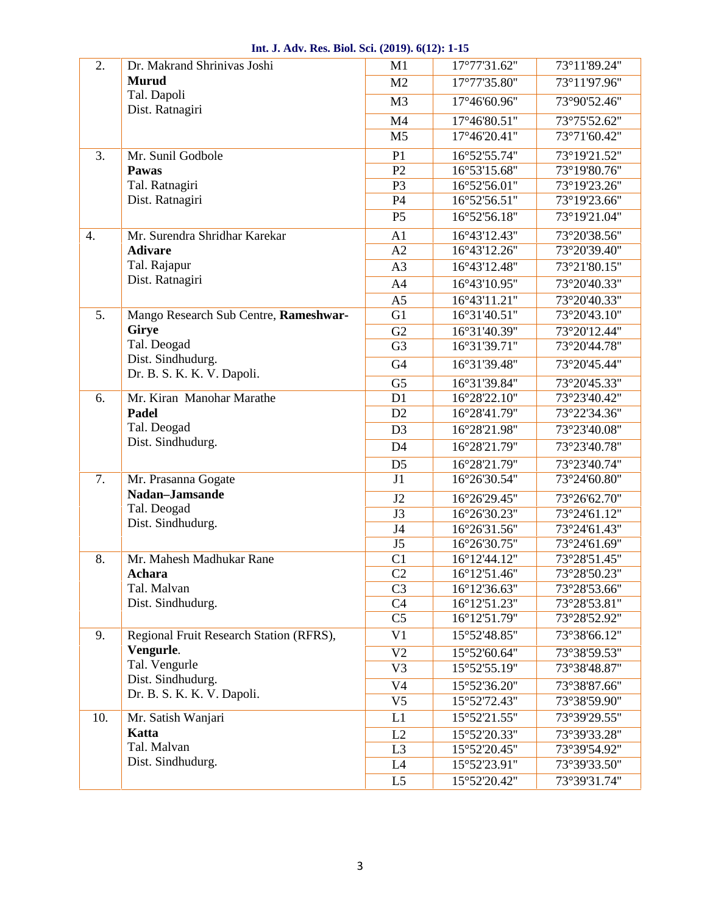| 2.  | Dr. Makrand Shrinivas Joshi                     | M1             | 17°77'31.62" | 73°11'89.24" |
|-----|-------------------------------------------------|----------------|--------------|--------------|
|     | <b>Murud</b>                                    | M <sub>2</sub> | 17°77'35.80" | 73°11'97.96" |
|     | Tal. Dapoli                                     | M <sub>3</sub> | 17°46'60.96" | 73°90'52.46" |
|     | Dist. Ratnagiri                                 | M4             | 17°46'80.51" | 73°75'52.62" |
|     |                                                 | M <sub>5</sub> | 17°46'20.41" | 73°71'60.42" |
| 3.  | Mr. Sunil Godbole                               | P <sub>1</sub> | 16°52'55.74" | 73°19'21.52" |
|     | Pawas                                           | P2             | 16°53'15.68" | 73°19'80.76" |
|     | Tal. Ratnagiri                                  | P <sub>3</sub> | 16°52'56.01" | 73°19'23.26" |
|     | Dist. Ratnagiri                                 | P4             | 16°52'56.51" | 73°19'23.66" |
|     |                                                 | P <sub>5</sub> | 16°52'56.18" | 73°19'21.04" |
| 4.  | Mr. Surendra Shridhar Karekar                   | A <sub>1</sub> | 16°43'12.43" | 73°20'38.56" |
|     | <b>Adivare</b>                                  | A2             | 16°43'12.26" | 73°20'39.40" |
|     | Tal. Rajapur                                    | A <sub>3</sub> | 16°43'12.48" | 73°21'80.15" |
|     | Dist. Ratnagiri                                 | A <sub>4</sub> | 16°43'10.95" | 73°20'40.33" |
|     |                                                 | A <sub>5</sub> | 16°43'11.21" | 73°20'40.33" |
| 5.  | Mango Research Sub Centre, Rameshwar-           | G1             | 16°31'40.51" | 73°20'43.10" |
|     | Girye                                           | G2             | 16°31'40.39" | 73°20'12.44" |
|     | Tal. Deogad                                     | G <sub>3</sub> | 16°31'39.71" | 73°20'44.78" |
|     | Dist. Sindhudurg.                               | G <sub>4</sub> | 16°31'39.48" | 73°20'45.44" |
|     | Dr. B. S. K. K. V. Dapoli.                      | G <sub>5</sub> | 16°31'39.84" | 73°20'45.33" |
| 6.  | Mr. Kiran Manohar Marathe                       | D1             | 16°28'22.10" | 73°23'40.42" |
|     | Padel                                           | D2             | 16°28'41.79" | 73°22'34.36" |
|     | Tal. Deogad                                     | D <sub>3</sub> | 16°28'21.98" | 73°23'40.08" |
|     | Dist. Sindhudurg.                               | D <sub>4</sub> | 16°28'21.79" | 73°23'40.78" |
|     |                                                 | D <sub>5</sub> | 16°28'21.79" | 73°23'40.74" |
| 7.  | Mr. Prasanna Gogate                             | J1             | 16°26'30.54" | 73°24'60.80" |
|     | Nadan-Jamsande                                  | J2             | 16°26'29.45" | 73°26'62.70" |
|     | Tal. Deogad                                     | J3             | 16°26'30.23" | 73°24'61.12" |
|     | Dist. Sindhudurg.                               | J4             | 16°26'31.56" | 73°24'61.43" |
|     |                                                 | J5             | 16°26'30.75" | 73°24'61.69" |
| 8.  | Mr. Mahesh Madhukar Rane                        | C <sub>1</sub> | 16°12'44.12" | 73°28'51.45" |
|     | Achara                                          | C <sub>2</sub> | 16°12'51.46" | 73°28'50.23" |
|     | Tal. Malvan                                     | C <sub>3</sub> | 16°12'36.63" | 73°28'53.66" |
|     | Dist. Sindhudurg.                               | C <sub>4</sub> | 16°12'51.23" | 73°28'53.81" |
|     |                                                 | C <sub>5</sub> | 16°12'51.79" | 73°28'52.92" |
| 9.  | Regional Fruit Research Station (RFRS),         | V <sub>1</sub> | 15°52'48.85" | 73°38'66.12" |
|     | Vengurle.                                       | V <sub>2</sub> | 15°52'60.64" | 73°38'59.53" |
|     | Tal. Vengurle                                   | V <sub>3</sub> | 15°52'55.19" | 73°38'48.87" |
|     | Dist. Sindhudurg.<br>Dr. B. S. K. K. V. Dapoli. | V4             | 15°52'36.20" | 73°38'87.66" |
|     |                                                 | V <sub>5</sub> | 15°52'72.43" | 73°38'59.90" |
| 10. | Mr. Satish Wanjari                              | L1             | 15°52'21.55" | 73°39'29.55" |
|     | Katta                                           | L2             | 15°52'20.33" | 73°39'33.28" |
|     | Tal. Malvan                                     | L <sub>3</sub> | 15°52'20.45" | 73°39'54.92" |
|     | Dist. Sindhudurg.                               | L4             | 15°52'23.91" | 73°39'33.50" |
|     |                                                 | L <sub>5</sub> | 15°52'20.42" | 73°39'31.74" |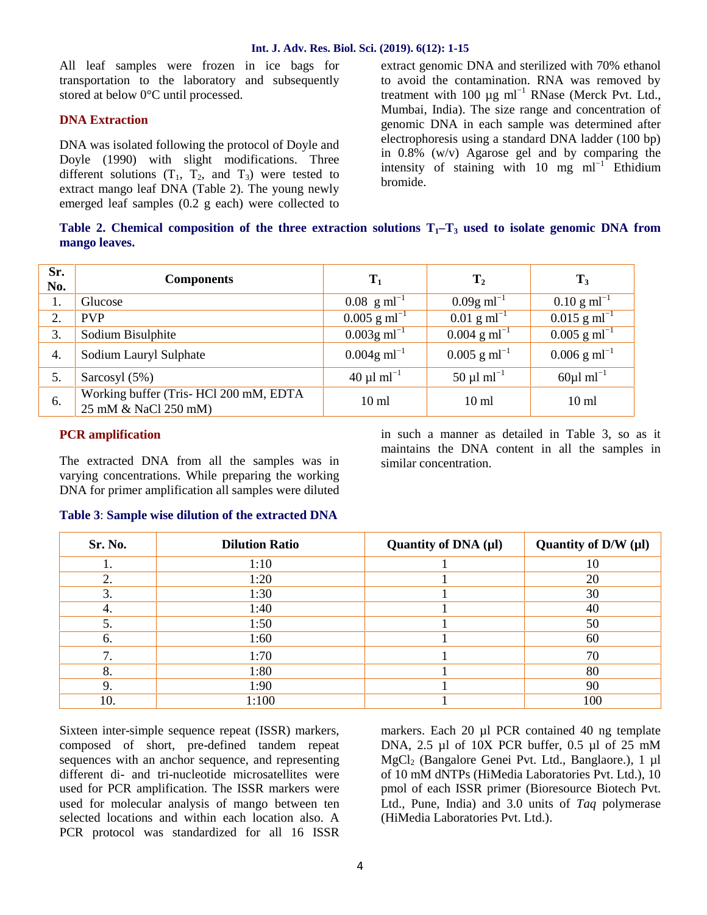All leaf samples were frozen in ice bags for transportation to the laboratory and subsequently stored at below 0°C until processed.

## **DNA Extraction**

DNA was isolated following the protocol of Doyle and Doyle (1990) with slight modifications. Three different solutions  $(T_1, T_2, \text{ and } T_3)$  were tested to extract mango leaf DNA (Table 2). The young newly emerged leaf samples (0.2 g each) were collected to extract genomic DNA and sterilized with 70% ethanol to avoid the contamination. RNA was removed by treatment with 100  $\mu$ g ml<sup>-1</sup> RNase (Merck Pvt. Ltd., Mumbai, India). The size range and concentration of genomic DNA in each sample was determined after electrophoresis using a standard DNA ladder (100 bp) in 0.8% (w/v) Agarose gel and by comparing the intensity of staining with 10 mg ml<sup> $-1$ </sup> Ethidium bromide.

|               |  |  | Table 2. Chemical composition of the three extraction solutions $T_1$ – $T_3$ used to isolate genomic DNA from |
|---------------|--|--|----------------------------------------------------------------------------------------------------------------|
| mango leaves. |  |  |                                                                                                                |

| Sr.<br>No. | <b>Components</b>                                             | $\mathbf{T}_1$                   | $\mathbf{T}_2$             | $\mathbf{T}_3$                   |
|------------|---------------------------------------------------------------|----------------------------------|----------------------------|----------------------------------|
| 1.         | Glucose                                                       | $0.08 \text{ g} \text{ ml}^{-1}$ | $0.09g$ ml <sup>-1</sup>   | $0.10 \text{ g} \text{ ml}^{-1}$ |
| 2.         | <b>PVP</b>                                                    | $0.005$ g ml <sup>-1</sup>       | $0.01$ g ml <sup>-1</sup>  | $0.015$ g ml <sup>-1</sup>       |
| 3.         | Sodium Bisulphite                                             | $0.003$ g ml <sup>-1</sup>       | $0.004$ g ml <sup>-1</sup> | $0.005$ g ml <sup>-1</sup>       |
| 4.         | Sodium Lauryl Sulphate                                        | $0.004$ g ml <sup>-1</sup>       | $0.005$ g ml <sup>-1</sup> | $0.006$ g ml <sup>-1</sup>       |
| 5.         | Sarcosyl $(5%)$                                               | $40 \mu 1 \text{ ml}^{-1}$       | $50 \mu 1 \text{ ml}^{-1}$ | $60\mu$ l ml <sup>-1</sup>       |
| 6.         | Working buffer (Tris-HCl 200 mM, EDTA<br>25 mM & NaCl 250 mM) | $10 \text{ ml}$                  | $10 \text{ ml}$            | 10 <sub>ml</sub>                 |

### **PCR amplification**

The extracted DNA from all the samples was in varying concentrations. While preparing the working DNA for primer amplification all samples were diluted in such a manner as detailed in Table 3, so as it maintains the DNA content in all the samples in similar concentration.

| Table 3: Sample wise dilution of the extracted DNA |  |
|----------------------------------------------------|--|
|----------------------------------------------------|--|

| Sr. No. | <b>Dilution Ratio</b> | Quantity of $DNA(\mu l)$ | Quantity of $D/W(\mu l)$ |
|---------|-----------------------|--------------------------|--------------------------|
|         | 1:10                  |                          | 10                       |
| 2.      | 1:20                  |                          | 20                       |
| 3.      | 1:30                  |                          | 30                       |
|         | 1:40                  |                          | 40                       |
| 5.      | 1:50                  |                          | 50                       |
| 6.      | 1:60                  |                          | 60                       |
|         | 1:70                  |                          | 70                       |
| 8.      | 1:80                  |                          | 80                       |
|         | 1:90                  |                          | 90                       |
| 10.     | 1:100                 |                          | 100                      |

Sixteen inter-simple sequence repeat (ISSR) markers, composed of short, pre-defined tandem repeat sequences with an anchor sequence, and representing different di- and tri-nucleotide microsatellites were used for PCR amplification. The ISSR markers were used for molecular analysis of mango between ten selected locations and within each location also. A PCR protocol was standardized for all 16 ISSR

markers. Each 20 µl PCR contained 40 ng template DNA, 2.5 µl of 10X PCR buffer, 0.5 µl of 25 mM MgCl<sub>2</sub> (Bangalore Genei Pvt. Ltd., Banglaore.), 1 µl of 10 mM dNTPs (HiMedia Laboratories Pvt. Ltd.), 10 pmol of each ISSR primer (Bioresource Biotech Pvt. Ltd., Pune, India) and 3.0 units of *Taq* polymerase (HiMedia Laboratories Pvt. Ltd.).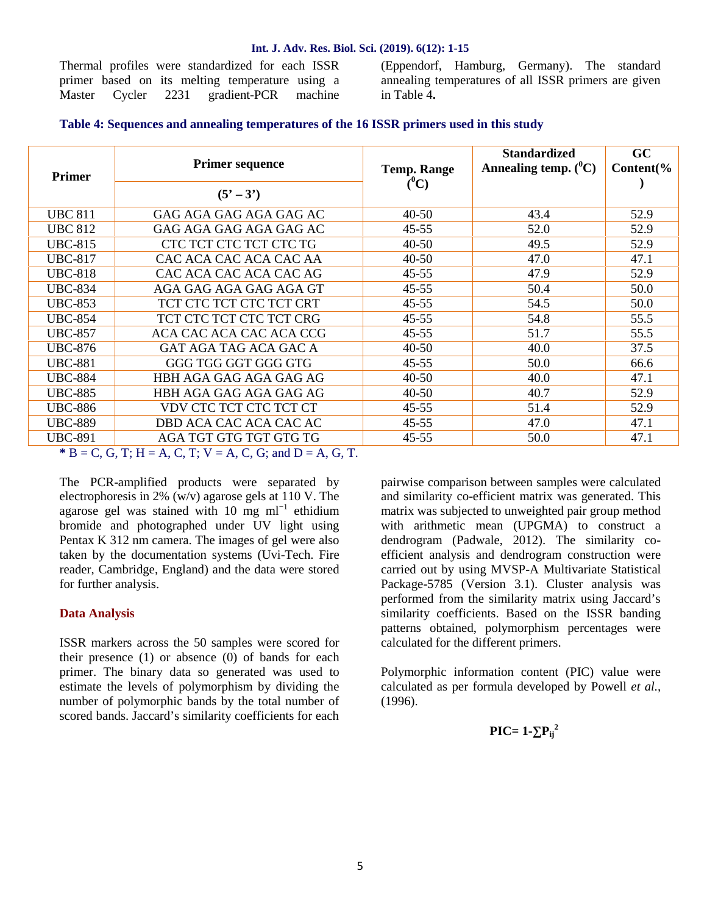Thermal profiles were standardized for each ISSR primer based on its melting temperature using a Master Cycler 2231 gradient-PCR machine (Eppendorf, Hamburg, Germany). The standard annealing temperatures of all ISSR primers are given in Table 4**.**

### **Table 4: Sequences and annealing temperatures of the 16 ISSR primers used in this study**

|                | <b>Primer sequence</b>  | <b>Temp. Range</b> | <b>Standardized</b><br>Annealing temp. $(^0C)$ | <b>GC</b><br>Content(% |
|----------------|-------------------------|--------------------|------------------------------------------------|------------------------|
| <b>Primer</b>  | $(5' - 3')$             | $(^0C)$            |                                                |                        |
| <b>UBC 811</b> | GAG AGA GAG AGA GAG AC  | $40 - 50$          | 43.4                                           | 52.9                   |
| <b>UBC 812</b> | GAG AGA GAG AGA GAG AC  | 45-55              | 52.0                                           | 52.9                   |
| <b>UBC-815</b> | CTC TCT CTC TCT CTC TG  | $40 - 50$          | 49.5                                           | 52.9                   |
| <b>UBC-817</b> | CAC ACA CAC ACA CAC AA  | $40 - 50$          | 47.0                                           | 47.1                   |
| <b>UBC-818</b> | CAC ACA CAC ACA CAC AG  | $45 - 55$          | 47.9                                           | 52.9                   |
| <b>UBC-834</b> | AGA GAG AGA GAG AGA GT  | 45-55              | 50.4                                           | 50.0                   |
| <b>UBC-853</b> | TCT CTC TCT CTC TCT CRT | 45-55              | 54.5                                           | 50.0                   |
| <b>UBC-854</b> | TCT CTC TCT CTC TCT CRG | 45-55              | 54.8                                           | 55.5                   |
| <b>UBC-857</b> | ACA CAC ACA CAC ACA CCG | $45 - 55$          | 51.7                                           | 55.5                   |
| <b>UBC-876</b> | GAT AGA TAG ACA GAC A   | $40 - 50$          | 40.0                                           | 37.5                   |
| <b>UBC-881</b> | GGG TGG GGT GGG GTG     | $45 - 55$          | 50.0                                           | 66.6                   |
| <b>UBC-884</b> | HBH AGA GAG AGA GAG AG  | $40 - 50$          | 40.0                                           | 47.1                   |
| <b>UBC-885</b> | HBH AGA GAG AGA GAG AG  | $40 - 50$          | 40.7                                           | 52.9                   |
| <b>UBC-886</b> | VDV CTC TCT CTC TCT CT  | $45 - 55$          | 51.4                                           | 52.9                   |
| <b>UBC-889</b> | DBD ACA CAC ACA CAC AC  | $45 - 55$          | 47.0                                           | 47.1                   |
| <b>UBC-891</b> | AGA TGT GTG TGT GTG TG  | $45 - 55$          | 50.0                                           | 47.1                   |

 $*$  B = C, G, T; H = A, C, T; V = A, C, G; and D = A, G, T.

The PCR-amplified products were separated by electrophoresis in 2% (w/v) agarose gels at 110 V. The agarose gel was stained with 10 mg ml<sup>-1</sup> ethidium bromide and photographed under UV light using Pentax K 312 nm camera. The images of gel were also taken by the documentation systems (Uvi-Tech. Fire reader, Cambridge, England) and the data were stored for further analysis.

### **Data Analysis**

ISSR markers across the 50 samples were scored for their presence (1) or absence (0) of bands for each primer. The binary data so generated was used to estimate the levels of polymorphism by dividing the number of polymorphic bands by the total number of scored bands. Jaccard's similarity coefficients for each

pairwise comparison between samples were calculated and similarity co-efficient matrix was generated. This matrix was subjected to unweighted pair group method with arithmetic mean (UPGMA) to construct a dendrogram (Padwale, 2012). The similarity co efficient analysis and dendrogram construction were carried out by using MVSP-A Multivariate Statistical Package-5785 (Version 3.1). Cluster analysis was performed from the similarity matrix using Jaccard's similarity coefficients. Based on the ISSR banding patterns obtained, polymorphism percentages were calculated for the different primers.

Polymorphic information content (PIC) value were calculated as per formula developed by Powell *et al.,* (1996).

$$
\mathbf{PIC}=1-\mathbf{P_{ij}}^2
$$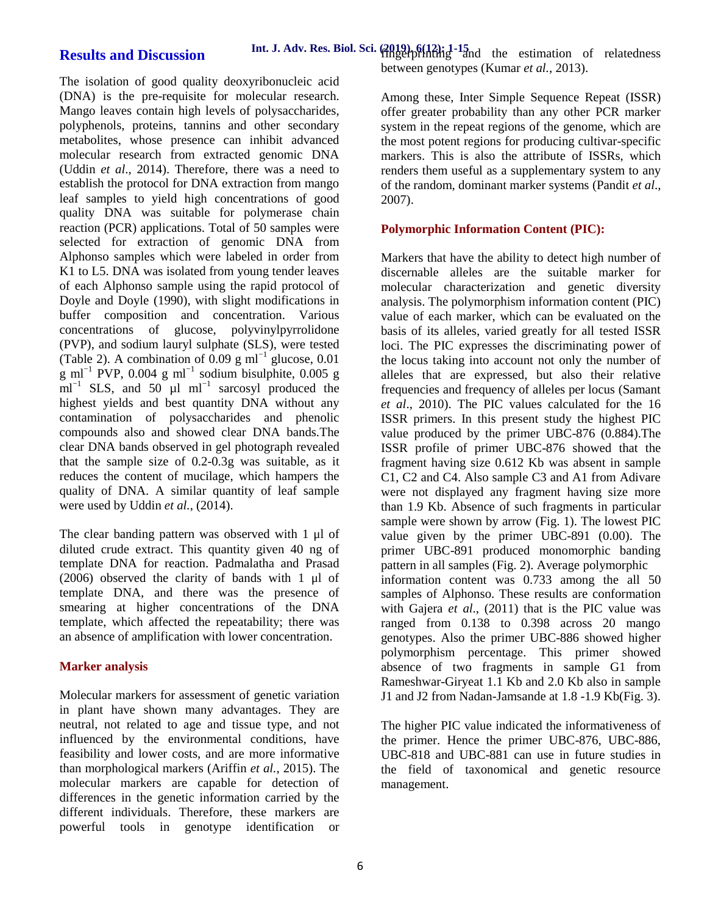# **Results and Discussion**

The isolation of good quality deoxyribonucleic acid (DNA) is the pre-requisite for molecular research. Mango leaves contain high levels of polysaccharides, polyphenols, proteins, tannins and other secondary metabolites, whose presence can inhibit advanced molecular research from extracted genomic DNA (Uddin *et al*., 2014). Therefore, there was a need to establish the protocol for DNA extraction from mango leaf samples to yield high concentrations of good quality DNA was suitable for polymerase chain reaction (PCR) applications. Total of 50 samples were selected for extraction of genomic DNA from Alphonso samples which were labeled in order from K1 to L5. DNA was isolated from young tender leaves of each Alphonso sample using the rapid protocol of Doyle and Doyle (1990), with slight modifications in buffer composition and concentration. Various concentrations of glucose, polyvinylpyrrolidone (PVP), and sodium lauryl sulphate (SLS), were tested (Table 2). A combination of 0.09 g ml<sup>-1</sup> glucose, 0.01 g ml<sup>-1</sup> PVP, 0.004 g ml<sup>-1</sup> sodium bisulphite, 0.005 g ml<sup>-1</sup> SLS, and 50  $\mu$ 1 ml<sup>-1</sup> sarcosyl produced the highest yields and best quantity DNA without any contamination of polysaccharides and phenolic compounds also and showed clear DNA bands.The clear DNA bands observed in gel photograph revealed that the sample size of 0.2-0.3g was suitable, as it reduces the content of mucilage, which hampers the quality of DNA. A similar quantity of leaf sample were used by Uddin *et al.*, (2014).

The clear banding pattern was observed with 1 μl of diluted crude extract. This quantity given 40 ng of template DNA for reaction. Padmalatha and Prasad (2006) observed the clarity of bands with 1 μl of template DNA, and there was the presence of smearing at higher concentrations of the DNA template, which affected the repeatability; there was an absence of amplification with lower concentration.

# **Marker analysis**

Molecular markers for assessment of genetic variation in plant have shown many advantages. They are neutral, not related to age and tissue type, and not influenced by the environmental conditions, have feasibility and lower costs, and are more informative than morphological markers (Ariffin *et al.*, 2015). The molecular markers are capable for detection of differences in the genetic information carried by the different individuals. Therefore, these markers are powerful tools in genotype identification or Among these, Inter Simple Sequence Repeat (ISSR) offer greater probability than any other PCR marker system in the repeat regions of the genome, which are the most potent regions for producing cultivar-specific markers. This is also the attribute of ISSRs, which renders them useful as a supplementary system to any of the random, dominant marker systems (Pandit *et al*., 2007).

# **Polymorphic Information Content (PIC):**

Markers that have the ability to detect high number of discernable alleles are the suitable marker for molecular characterization and genetic diversity analysis. The polymorphism information content (PIC) value of each marker, which can be evaluated on the basis of its alleles, varied greatly for all tested ISSR loci. The PIC expresses the discriminating power of the locus taking into account not only the number of alleles that are expressed, but also their relative frequencies and frequency of alleles per locus (Samant *et al*., 2010). The PIC values calculated for the 16 ISSR primers. In this present study the highest PIC value produced by the primer UBC-876 (0.884).The ISSR profile of primer UBC-876 showed that the fragment having size 0.612 Kb was absent in sample C1, C2 and C4. Also sample C3 and A1 from Adivare were not displayed any fragment having size more than 1.9 Kb. Absence of such fragments in particular sample were shown by arrow (Fig. 1). The lowest PIC value given by the primer UBC-891 (0.00). The primer UBC-891 produced monomorphic banding pattern in all samples (Fig. 2). Average polymorphic information content was 0.733 among the all 50 samples of Alphonso. These results are conformation with Gajera *et al*., (2011) that is the PIC value was ranged from 0.138 to 0.398 across 20 mango genotypes. Also the primer UBC-886 showed higher polymorphism percentage. This primer showed absence of two fragments in sample G1 from Rameshwar-Giryeat 1.1 Kb and 2.0 Kb also in sample J1 and J2 from Nadan-Jamsande at 1.8 -1.9 Kb(Fig. 3).

The higher PIC value indicated the informativeness of the primer. Hence the primer UBC-876, UBC-886, UBC-818 and UBC-881 can use in future studies in the field of taxonomical and genetic resource management.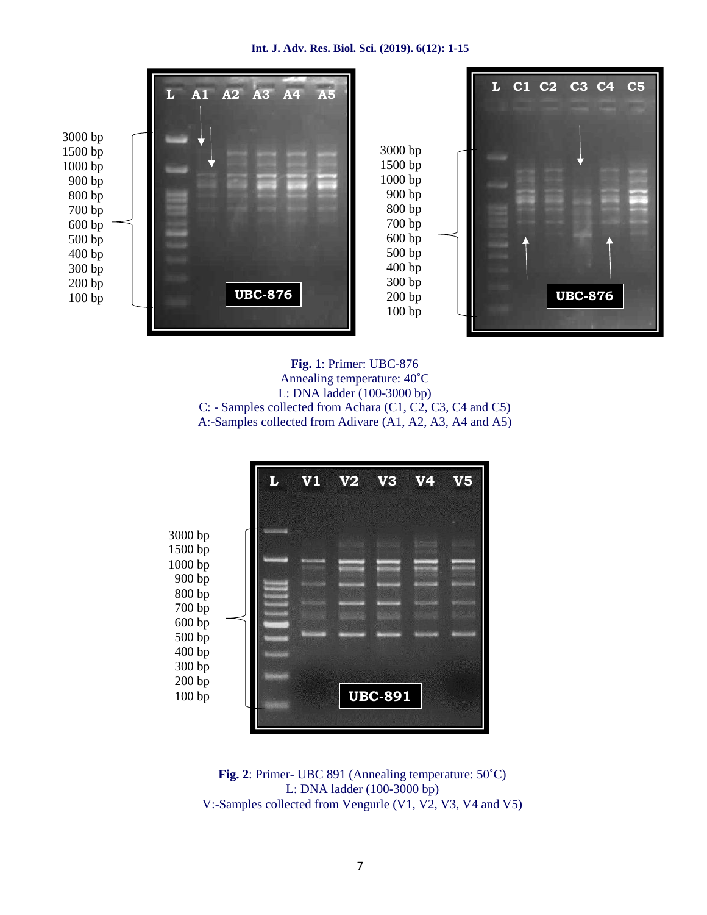

**Fig. 1**: Primer: UBC-876 Annealing temperature: 40˚C L: DNA ladder (100-3000 bp) C: - Samples collected from Achara (C1, C2, C3, C4 and C5) A:-Samples collected from Adivare (A1, A2, A3, A4 and A5)



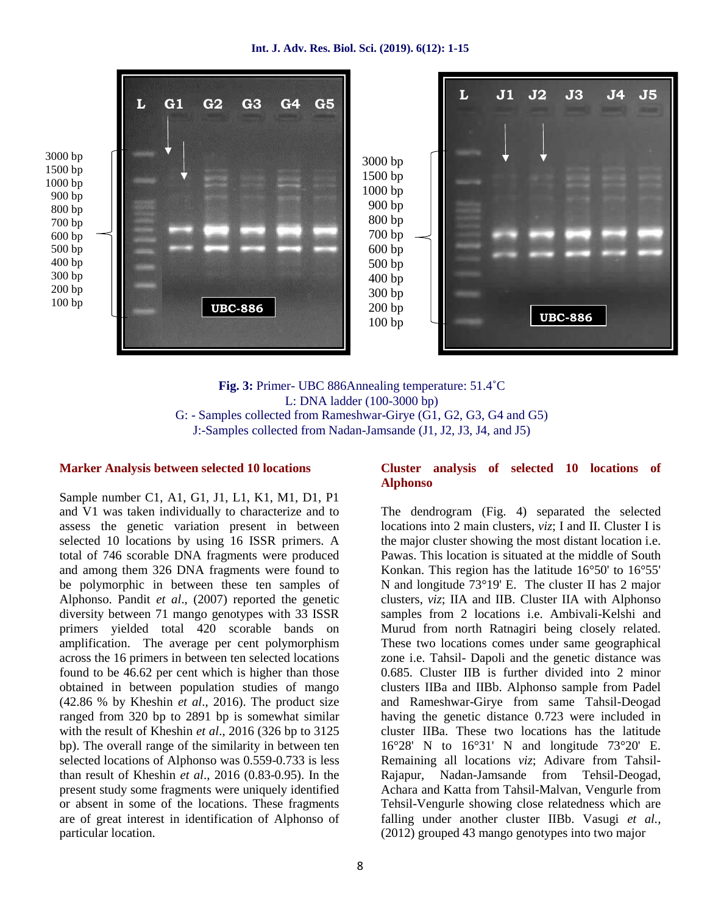

**Fig. 3:** Primer- UBC 886Annealing temperature: 51.4˚C L: DNA ladder (100-3000 bp) G: - Samples collected from Rameshwar-Girye (G1, G2, G3, G4 and G5) J:-Samples collected from Nadan-Jamsande (J1, J2, J3, J4, and J5)

### **Marker Analysis between selected 10 locations**

Sample number C1, A1, G1, J1, L1, K1, M1, D1, P1 and V1 was taken individually to characterize and to assess the genetic variation present in between selected 10 locations by using 16 ISSR primers. A total of 746 scorable DNA fragments were produced and among them 326 DNA fragments were found to be polymorphic in between these ten samples of Alphonso. Pandit *et al*., (2007) reported the genetic diversity between 71 mango genotypes with 33 ISSR primers yielded total 420 scorable bands on amplification. The average per cent polymorphism across the 16 primers in between ten selected locations found to be 46.62 per cent which is higher than those obtained in between population studies of mango (42.86 % by Kheshin *et al*., 2016). The product size ranged from 320 bp to 2891 bp is somewhat similar with the result of Kheshin *et al*., 2016 (326 bp to 3125 bp). The overall range of the similarity in between ten selected locations of Alphonso was 0.559-0.733 is less than result of Kheshin *et al*., 2016 (0.83-0.95). In the present study some fragments were uniquely identified or absent in some of the locations. These fragments are of great interest in identification of Alphonso of particular location.

### **Cluster analysis of selected 10 locations of Alphonso**

The dendrogram (Fig. 4) separated the selected locations into 2 main clusters, *viz*; I and II. Cluster I is the major cluster showing the most distant location i.e. Pawas. This location is situated at the middle of South Konkan. This region has the latitude 16°50' to 16°55' N and longitude 73°19' E. The cluster II has 2 major clusters, *viz*; IIA and IIB. Cluster IIA with Alphonso samples from 2 locations i.e. Ambivali-Kelshi and Murud from north Ratnagiri being closely related. These two locations comes under same geographical zone i.e. Tahsil- Dapoli and the genetic distance was 0.685. Cluster IIB is further divided into 2 minor clusters IIBa and IIBb. Alphonso sample from Padel and Rameshwar-Girye from same Tahsil-Deogad having the genetic distance 0.723 were included in cluster IIBa. These two locations has the latitude 16°28' N to 16°31' N and longitude 73°20' E. Remaining all locations *viz*; Adivare from Tahsil- Rajapur, Nadan-Jamsande from Tehsil-Deogad, Achara and Katta from Tahsil-Malvan, Vengurle from Tehsil-Vengurle showing close relatedness which are falling under another cluster IIBb. Vasugi *et al.,* (2012) grouped 43 mango genotypes into two major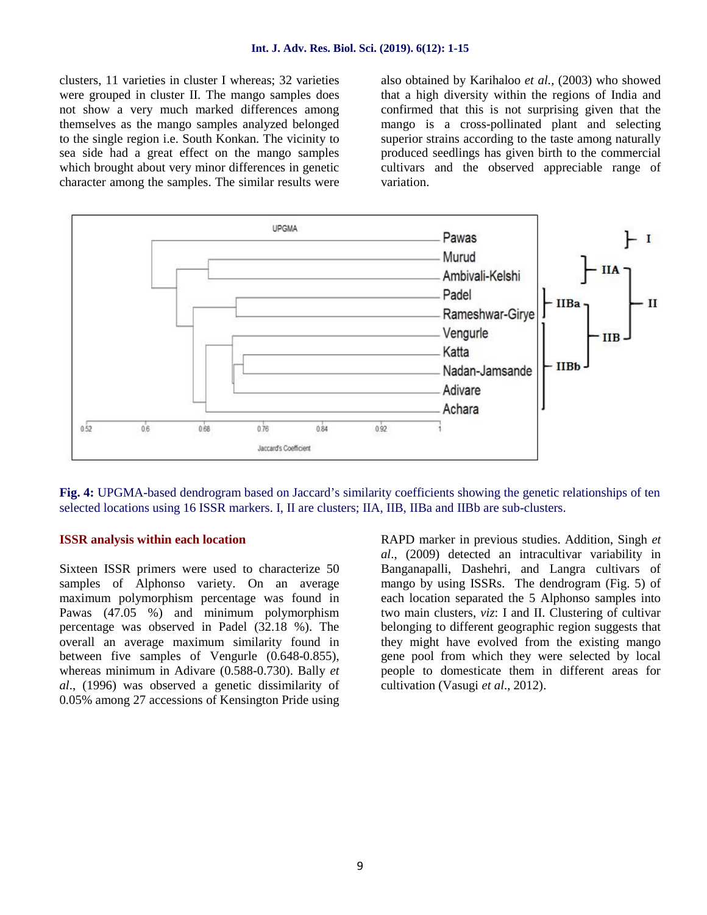clusters, 11 varieties in cluster I whereas; 32 varieties were grouped in cluster II. The mango samples does not show a very much marked differences among themselves as the mango samples analyzed belonged to the single region i.e. South Konkan. The vicinity to sea side had a great effect on the mango samples which brought about very minor differences in genetic character among the samples. The similar results were

also obtained by Karihaloo *et al.,* (2003) who showed that a high diversity within the regions of India and confirmed that this is not surprising given that the mango is a cross-pollinated plant and selecting superior strains according to the taste among naturally produced seedlings has given birth to the commercial cultivars and the observed appreciable range of variation.



**Fig. 4:** UPGMA-based dendrogram based on Jaccard's similarity coefficients showing the genetic relationships of ten selected locations using 16 ISSR markers. I, II are clusters; IIA, IIB, IIBa and IIBb are sub-clusters.

## **ISSR analysis within each location**

Sixteen ISSR primers were used to characterize 50 samples of Alphonso variety. On an average maximum polymorphism percentage was found in Pawas (47.05 %) and minimum polymorphism percentage was observed in Padel (32.18 %). The overall an average maximum similarity found in between five samples of Vengurle (0.648-0.855), whereas minimum in Adivare (0.588-0.730). Bally *et al*., (1996) was observed a genetic dissimilarity of 0.05% among 27 accessions of Kensington Pride using

RAPD marker in previous studies. Addition, Singh *et al*., (2009) detected an intracultivar variability in Banganapalli, Dashehri, and Langra cultivars of mango by using ISSRs. The dendrogram (Fig. 5) of each location separated the 5 Alphonso samples into two main clusters, *viz*: I and II. Clustering of cultivar belonging to different geographic region suggests that they might have evolved from the existing mango gene pool from which they were selected by local people to domesticate them in different areas for cultivation (Vasugi *et al*., 2012).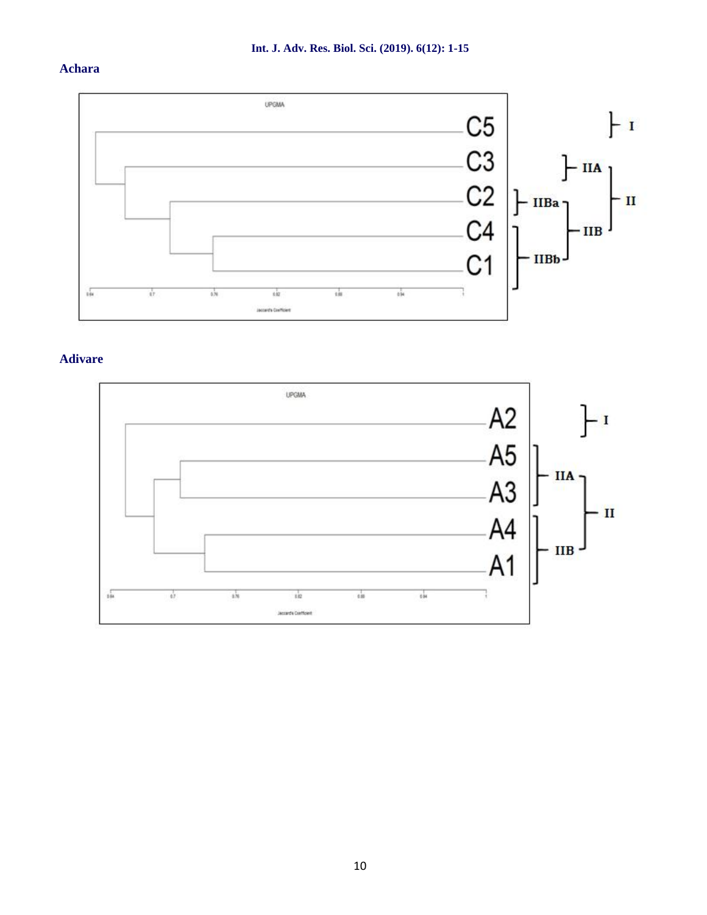# **Achara**



# **Adivare**

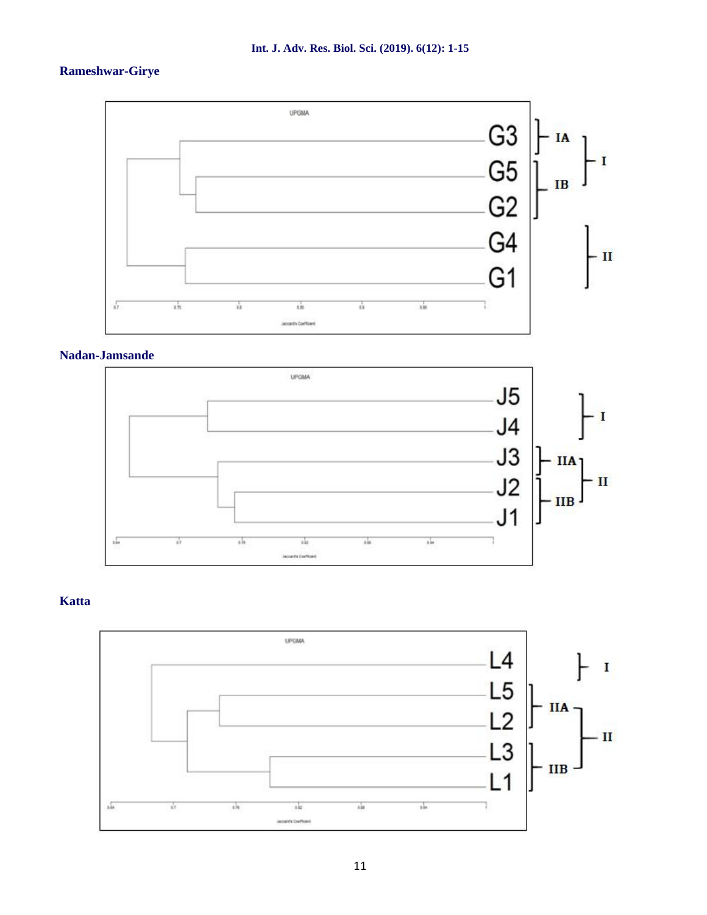# **Rameshwar-Girye**



# **Nadan-Jamsande**



# **Katta**

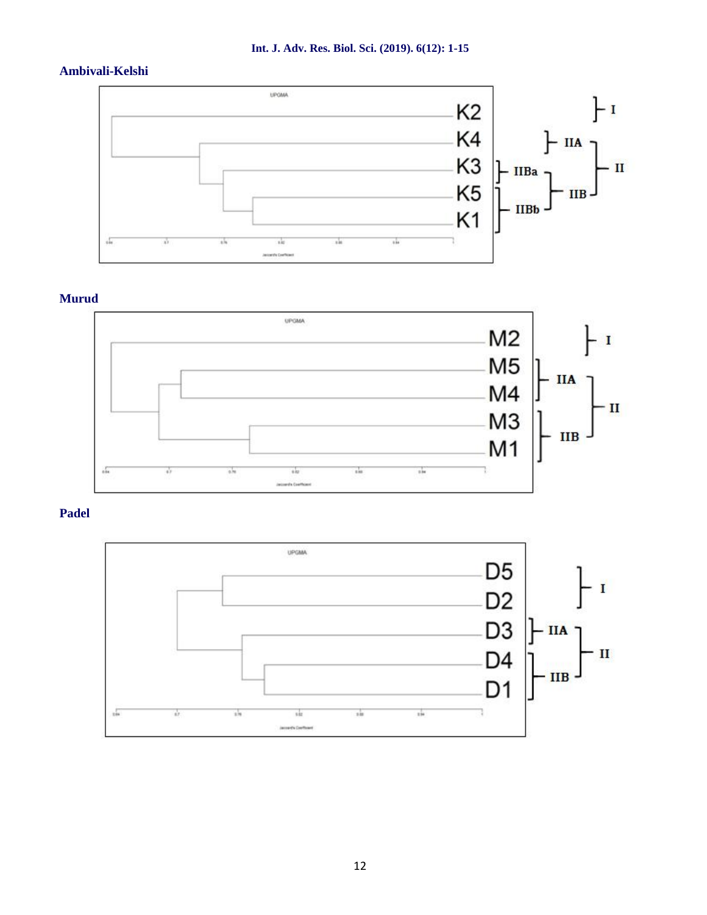# **Ambivali-Kelshi**



# **Murud**



# **Padel**

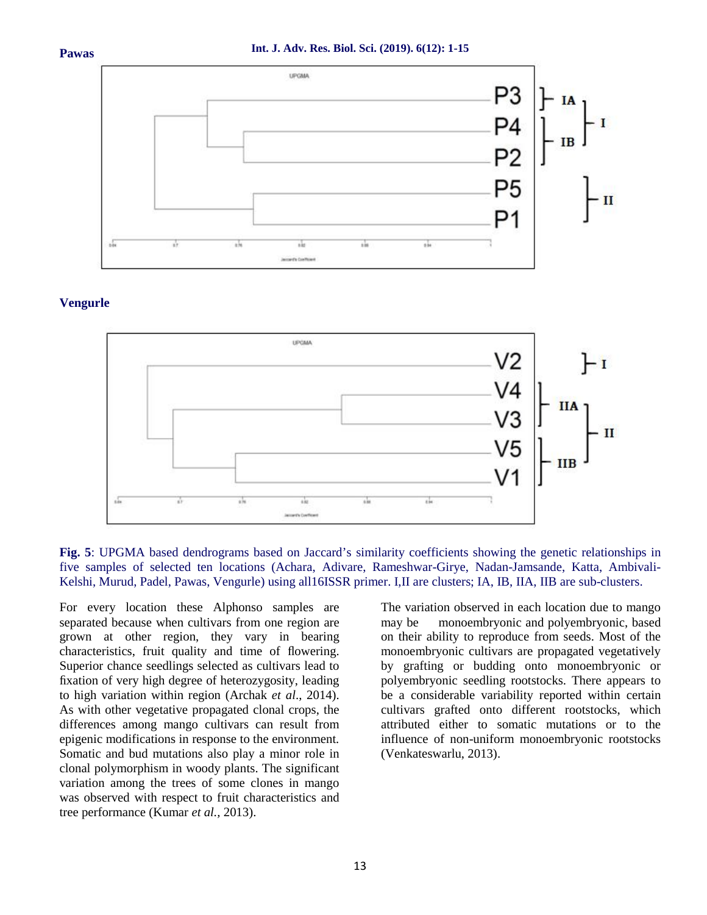

### **Vengurle**



**Fig. 5**: UPGMA based dendrograms based on Jaccard's similarity coefficients showing the genetic relationships in five samples of selected ten locations (Achara, Adivare, Rameshwar-Girye, Nadan-Jamsande, Katta, Ambivali- Kelshi, Murud, Padel, Pawas, Vengurle) using all16ISSR primer. I,II are clusters; IA, IB, IIA, IIB are sub-clusters.

For every location these Alphonso samples are separated because when cultivars from one region are may be grown at other region, they vary in bearing characteristics, fruit quality and time of flowering. Superior chance seedlings selected as cultivars lead to fixation of very high degree of heterozygosity, leading to high variation within region (Archak *et al*., 2014). As with other vegetative propagated clonal crops, the differences among mango cultivars can result from epigenic modifications in response to the environment. Somatic and bud mutations also play a minor role in clonal polymorphism in woody plants. The significant variation among the trees of some clones in mango was observed with respect to fruit characteristics and tree performance (Kumar *et al.,* 2013).

The variation observed in each location due to mango monoembryonic and polyembryonic, based on their ability to reproduce from seeds. Most of the monoembryonic cultivars are propagated vegetatively by grafting or budding onto monoembryonic or polyembryonic seedling rootstocks. There appears to be a considerable variability reported within certain cultivars grafted onto different rootstocks, which attributed either to somatic mutations or to the influence of non-uniform monoembryonic rootstocks (Venkateswarlu, 2013).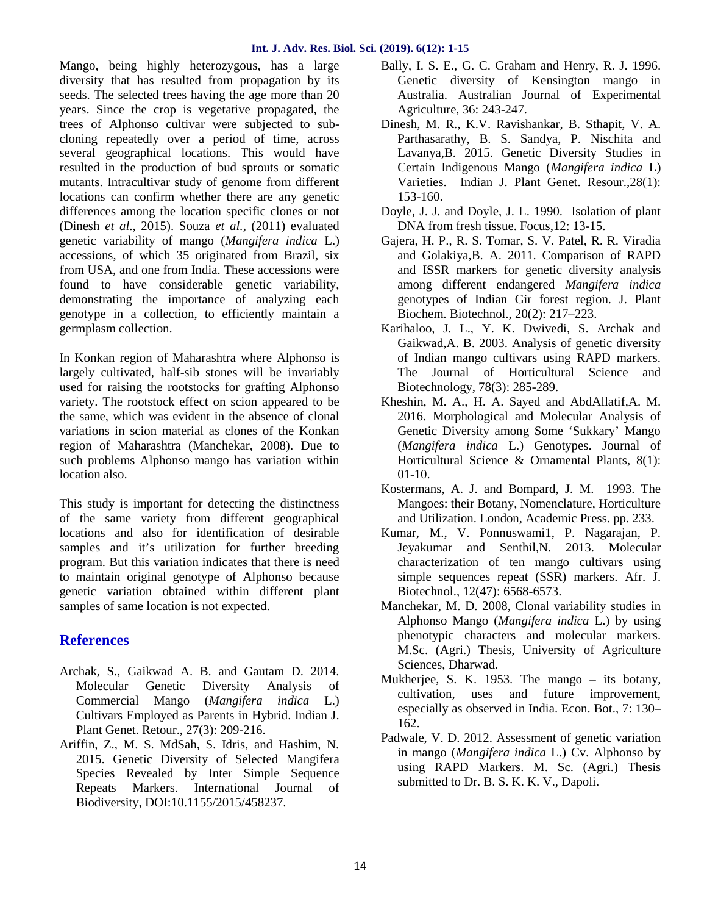Mango, being highly heterozygous, has a large diversity that has resulted from propagation by its seeds. The selected trees having the age more than 20 years. Since the crop is vegetative propagated, the trees of Alphonso cultivar were subjected to sub cloning repeatedly over a period of time, across several geographical locations. This would have resulted in the production of bud sprouts or somatic mutants. Intracultivar study of genome from different locations can confirm whether there are any genetic differences among the location specific clones or not (Dinesh *et al*., 2015). Souza *et al.,* (2011) evaluated genetic variability of mango (*Mangifera indica* L.) accessions, of which 35 originated from Brazil, six from USA, and one from India. These accessions were found to have considerable genetic variability, demonstrating the importance of analyzing each genotype in a collection, to efficiently maintain a germplasm collection.

In Konkan region of Maharashtra where Alphonso is largely cultivated, half-sib stones will be invariably used for raising the rootstocks for grafting Alphonso variety. The rootstock effect on scion appeared to be the same, which was evident in the absence of clonal variations in scion material as clones of the Konkan region of Maharashtra (Manchekar, 2008). Due to such problems Alphonso mango has variation within location also.

This study is important for detecting the distinctness of the same variety from different geographical locations and also for identification of desirable samples and it's utilization for further breeding program. But this variation indicates that there is need to maintain original genotype of Alphonso because genetic variation obtained within different plant samples of same location is not expected.

# **References**

- Archak, S., Gaikwad A. B. and Gautam D. 2014. Molecular Genetic Diversity Analysis of Commercial Mango (*Mangifera indica* L.) Cultivars Employed as Parents in Hybrid. Indian J. Plant Genet. Retour., 27(3): 209-216.
- Ariffin, Z., M. S. MdSah, S. Idris, and Hashim, N. 2015. Genetic Diversity of Selected Mangifera Species Revealed by Inter Simple Sequence Repeats Markers. International Journal of Biodiversity, DOI:10.1155/2015/458237.
- Bally, I. S. E., G. C. Graham and Henry, R. J. 1996. Genetic diversity of Kensington mango in Australia. Australian Journal of Experimental Agriculture, 36: 243-247.
- Dinesh, M. R., K.V. Ravishankar, B. Sthapit, V. A. Parthasarathy, B. S. Sandya, P. Nischita and Lavanya,B. 2015. Genetic Diversity Studies in Certain Indigenous Mango (*Mangifera indica* L) Varieties. Indian J. Plant Genet. Resour.,28(1): 153-160.
- Doyle, J. J. and Doyle, J. L. 1990. Isolation of plant DNA from fresh tissue. Focus,12: 13-15.
- Gajera, H. P., R. S. Tomar, S. V. Patel, R. R. Viradia and Golakiya,B. A. 2011. Comparison of RAPD and ISSR markers for genetic diversity analysis among different endangered *Mangifera indica* genotypes of Indian Gir forest region. J. Plant Biochem. Biotechnol., 20(2): 217–223.
- Karihaloo, J. L., Y. K. Dwivedi, S. Archak and Gaikwad,A. B. 2003. Analysis of genetic diversity of Indian mango cultivars using RAPD markers. The Journal of Horticultural Science and Biotechnology, 78(3): 285-289.
- Kheshin, M. A., H. A. Sayed and AbdAllatif,A. M. 2016. Morphological and Molecular Analysis of Genetic Diversity among Some 'Sukkary' Mango (*Mangifera indica* L.) Genotypes. Journal of Horticultural Science & Ornamental Plants, 8(1): 01-10.
- Kostermans, A. J. and Bompard, J. M. 1993. The Mangoes: their Botany, Nomenclature, Horticulture and Utilization. London, Academic Press. pp. 233.
- Kumar, M., V. Ponnuswami1, P. Nagarajan, P. Jeyakumar and Senthil,N. 2013. Molecular characterization of ten mango cultivars using simple sequences repeat (SSR) markers. Afr. J. Biotechnol., 12(47): 6568-6573.
- Manchekar, M. D. 2008, Clonal variability studies in Alphonso Mango (*Mangifera indica* L.) by using phenotypic characters and molecular markers. M.Sc. (Agri.) Thesis, University of Agriculture Sciences, Dharwad.
- Mukherjee, S. K. 1953. The mango its botany, cultivation, uses and future improvement, especially as observed in India. Econ. Bot., 7: 130– 162.
- Padwale, V. D. 2012. Assessment of genetic variation in mango (*Mangifera indica* L.) Cv. Alphonso by using RAPD Markers. M. Sc. (Agri.) Thesis submitted to Dr. B. S. K. K. V., Dapoli.